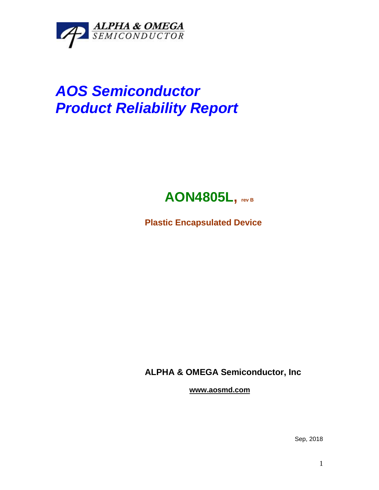

## *AOS Semiconductor Product Reliability Report*



**Plastic Encapsulated Device**

**ALPHA & OMEGA Semiconductor, Inc**

**www.aosmd.com**

Sep, 2018